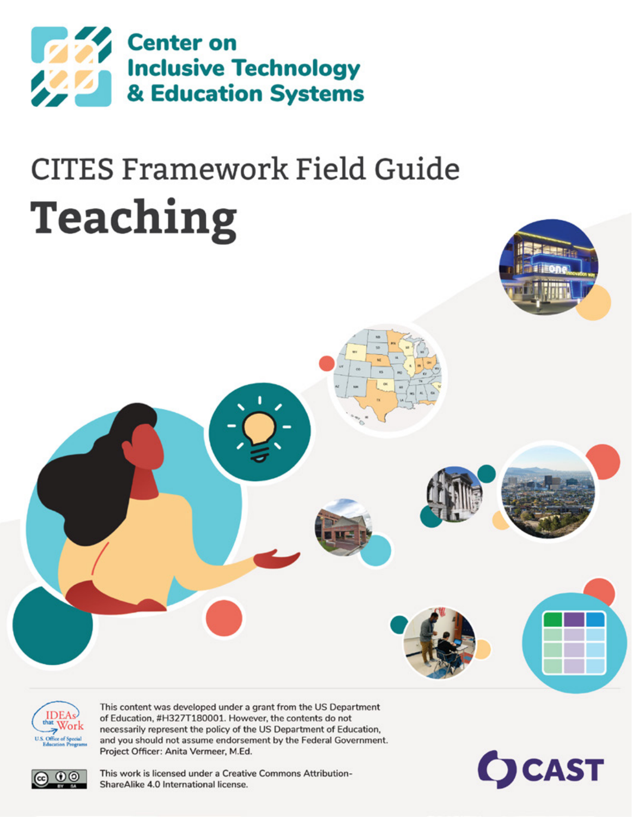

# **CITES Framework Field Guide** Teaching



This content was developed under a grant from the US Department of Education, #H327T180001. However, the contents do not necessarily represent the policy of the US Department of Education, and you should not assume endorsement by the Federal Government. Project Officer: Anita Vermeer, M.Ed.





This work is licensed under a Creative Commons Attribution-ShareAlike 4.0 International license.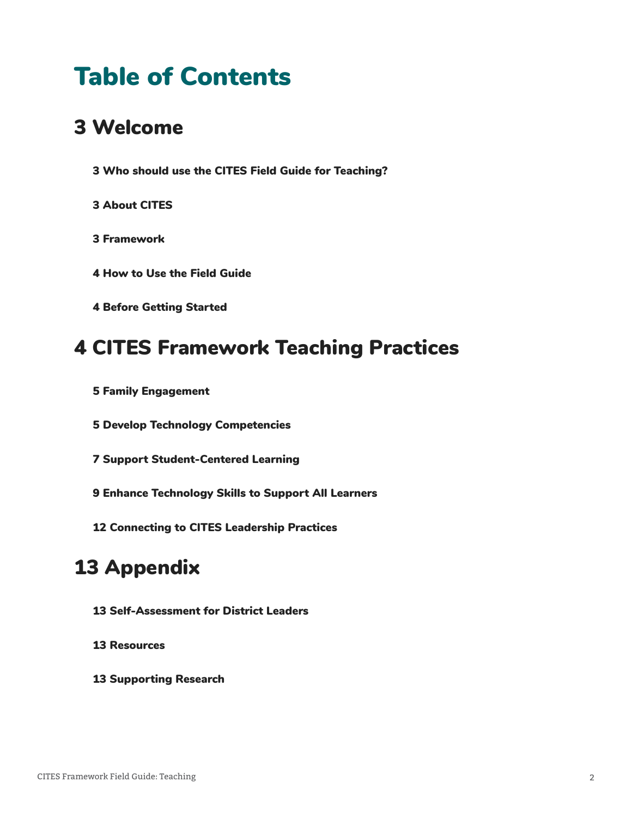# Table of Contents

# [Welcome](#page-2-0)

- [Who should use the CITES Field Guide for Teaching?](#page-2-0)
- [About CITES](#page-2-0)
- [Framework](#page-2-0)
- [How to Use the Field Guide](#page-3-0)
- [Before Getting Started](#page-3-0)

## [CITES Framework Teaching Practices](#page-3-0)

- [Family Engagement](#page-4-0)
- [Develop Technology Competencies](#page-4-0)
- [Support Student-Centered Learning](#page-6-0)
- [Enhance Technology Skills to Support All Learners](#page-8-0)
- [Connecting to CITES Leadership Practices](#page-11-0)

# [Appendix](#page-12-0)

- [Self-Assessment for District Leaders](#page-12-0)
- [Resources](#page-12-0)
- [Supporting Research](#page-12-0)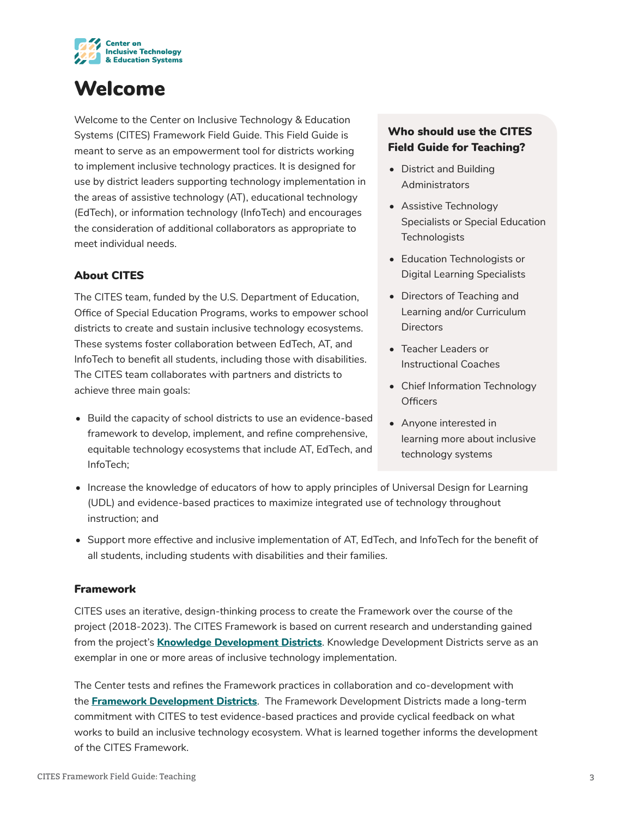<span id="page-2-0"></span>

# Welcome

Welcome to the Center on Inclusive Technology & Education Systems (CITES) Framework Field Guide. This Field Guide is meant to serve as an empowerment tool for districts working to implement inclusive technology practices. It is designed for use by district leaders supporting technology implementation in the areas of assistive technology (AT), educational technology (EdTech), or information technology (InfoTech) and encourages the consideration of additional collaborators as appropriate to meet individual needs.

#### About CITES

The CITES team, funded by the U.S. Department of Education, Office of Special Education Programs, works to empower school districts to create and sustain inclusive technology ecosystems. These systems foster collaboration between EdTech, AT, and InfoTech to benefit all students, including those with disabilities. The CITES team collaborates with partners and districts to achieve three main goals:

• Build the capacity of school districts to use an evidence-based framework to develop, implement, and refine comprehensive, equitable technology ecosystems that include AT, EdTech, and InfoTech;

#### Who should use the CITES Field Guide for Teaching?

- District and Building **Administrators**
- Assistive Technology Specialists or Special Education **Technologists**
- Education Technologists or Digital Learning Specialists
- Directors of Teaching and Learning and/or Curriculum **Directors**
- Teacher Leaders or Instructional Coaches
- Chief Information Technology **Officers**
- Anyone interested in learning more about inclusive technology systems
- Increase the knowledge of educators of how to apply principles of Universal Design for Learning (UDL) and evidence-based practices to maximize integrated use of technology throughout instruction; and
- Support more effective and inclusive implementation of AT, EdTech, and InfoTech for the benefit of all students, including students with disabilities and their families.

#### Framework

CITES uses an iterative, design-thinking process to create the Framework over the course of the project (2018-2023). The CITES Framework is based on current research and understanding gained from the project's **[Knowledge Development Districts](https://cites.cast.org/more/district-partners)**. Knowledge Development Districts serve as an exemplar in one or more areas of inclusive technology implementation.

The Center tests and refines the Framework practices in collaboration and co-development with the **[Framework Development Districts](https://cites.cast.org/more/district-partners)**. The Framework Development Districts made a long-term commitment with CITES to test evidence-based practices and provide cyclical feedback on what works to build an inclusive technology ecosystem. What is learned together informs the development of the CITES Framework.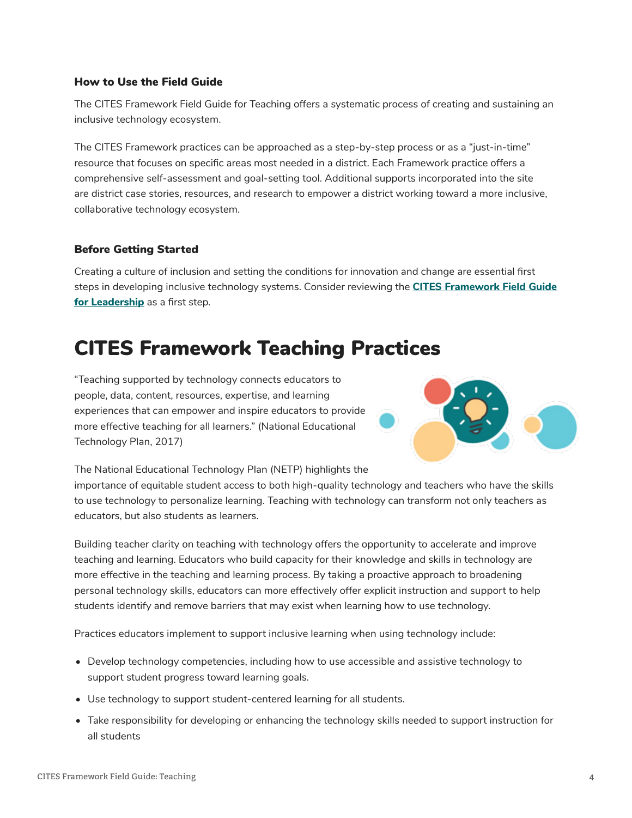#### <span id="page-3-0"></span>How to Use the Field Guide

The CITES Framework Field Guide for Teaching offers a systematic process of creating and sustaining an inclusive technology ecosystem.

The CITES Framework practices can be approached as a step-by-step process or as a "just-in-time" resource that focuses on specific areas most needed in a district. Each Framework practice offers a comprehensive self-assessment and goal-setting tool. Additional supports incorporated into the site are district case stories, resources, and research to empower a district working toward a more inclusive, collaborative technology ecosystem.

#### Before Getting Started

Creating a culture of inclusion and setting the conditions for innovation and change are essential first steps in developing inclusive technology systems. Consider reviewing the **[CITES Framework Field Guide](https://cites.cast.org/binaries/content/assets/cites/leadership/cites-fieldguide-leadership-20210930-a11y.pdf)  [for Leadership](https://cites.cast.org/binaries/content/assets/cites/leadership/cites-fieldguide-leadership-20210930-a11y.pdf)** as a first step.

## CITES Framework Teaching Practices

"Teaching supported by technology connects educators to people, data, content, resources, expertise, and learning experiences that can empower and inspire educators to provide more effective teaching for all learners." (National Educational Technology Plan, 2017)



The National Educational Technology Plan (NETP) highlights the

importance of equitable student access to both high-quality technology and teachers who have the skills to use technology to personalize learning. Teaching with technology can transform not only teachers as educators, but also students as learners.

Building teacher clarity on teaching with technology offers the opportunity to accelerate and improve teaching and learning. Educators who build capacity for their knowledge and skills in technology are more effective in the teaching and learning process. By taking a proactive approach to broadening personal technology skills, educators can more effectively offer explicit instruction and support to help students identify and remove barriers that may exist when learning how to use technology.

Practices educators implement to support inclusive learning when using technology include:

- Develop technology competencies, including how to use accessible and assistive technology to support student progress toward learning goals.
- Use technology to support student-centered learning for all students.
- Take responsibility for developing or enhancing the technology skills needed to support instruction for all students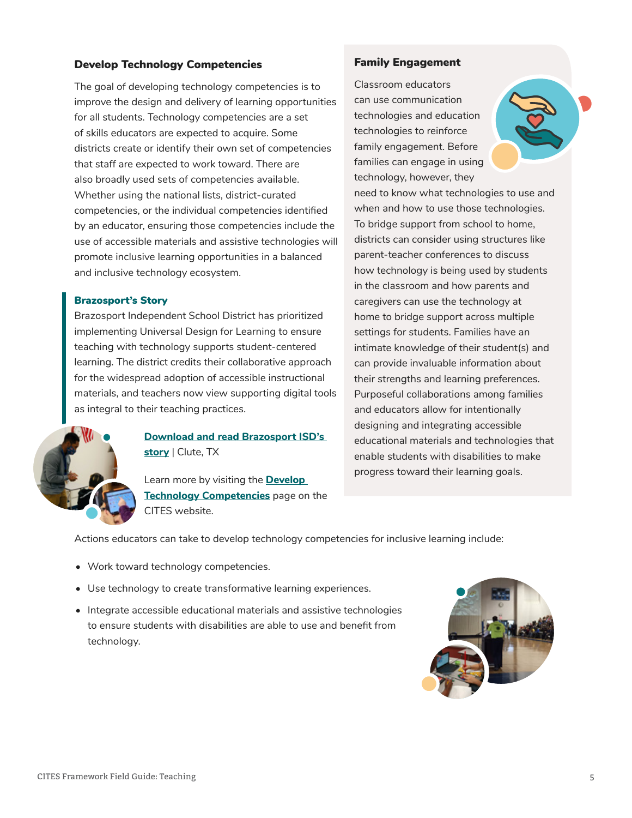#### <span id="page-4-0"></span>Develop Technology Competencies

The goal of developing technology competencies is to improve the design and delivery of learning opportunities for all students. Technology competencies are a set of skills educators are expected to acquire. Some districts create or identify their own set of competencies that staff are expected to work toward. There are also broadly used sets of competencies available. Whether using the national lists, district-curated competencies, or the individual competencies identified by an educator, ensuring those competencies include the use of accessible materials and assistive technologies will promote inclusive learning opportunities in a balanced and inclusive technology ecosystem.

#### Brazosport's Story

Brazosport Independent School District has prioritized implementing Universal Design for Learning to ensure teaching with technology supports student-centered learning. The district credits their collaborative approach for the widespread adoption of accessible instructional materials, and teachers now view supporting digital tools as integral to their teaching practices.



#### **[Download and read Brazosport ISD's](https://cites.cast.org/binaries/content/assets/cites/cites-brazosport-casestory-a11y.pdf)  [story](https://cites.cast.org/binaries/content/assets/cites/cites-brazosport-casestory-a11y.pdf)** | Clute, TX

Learn more by visiting the **[Develop](https://cites.cast.org/teaching/develop-technology-competencies)  [Technology Competencies](https://cites.cast.org/teaching/develop-technology-competencies)** page on the CITES website.

#### Family Engagement

Classroom educators can use communication technologies and education technologies to reinforce family engagement. Before families can engage in using technology, however, they



Actions educators can take to develop technology competencies for inclusive learning include:

- Work toward technology competencies.
- Use technology to create transformative learning experiences.
- Integrate accessible educational materials and assistive technologies to ensure students with disabilities are able to use and benefit from technology.

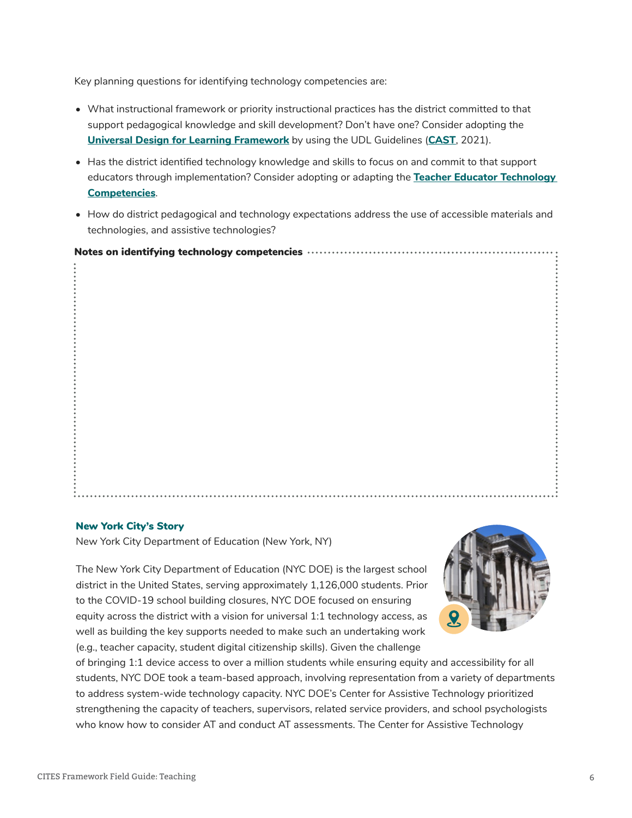Key planning questions for identifying technology competencies are:

- What instructional framework or priority instructional practices has the district committed to that support pedagogical knowledge and skill development? Don't have one? Consider adopting the **[Universal Design for Learning Framework](https://udlguidelines.cast.org/)** by using the UDL Guidelines (**[CAST](https://www.cast.org/)**, 2021).
- Has the district identified technology knowledge and skills to focus on and commit to that support educators through implementation? Consider adopting or adapting the **[Teacher Educator Technology](https://cites.cast.org/teaching/develop-technology-competencies)  [Competencies](https://cites.cast.org/teaching/develop-technology-competencies)**.
- How do district pedagogical and technology expectations address the use of accessible materials and technologies, and assistive technologies?

#### Notes on identifying technology competencies

| ٠ | . |
|---|---|
|   |   |

#### New York City's Story

New York City Department of Education (New York, NY)

The New York City Department of Education (NYC DOE) is the largest school district in the United States, serving approximately 1,126,000 students. Prior to the COVID-19 school building closures, NYC DOE focused on ensuring equity across the district with a vision for universal 1:1 technology access, as well as building the key supports needed to make such an undertaking work (e.g., teacher capacity, student digital citizenship skills). Given the challenge



of bringing 1:1 device access to over a million students while ensuring equity and accessibility for all students, NYC DOE took a team-based approach, involving representation from a variety of departments to address system-wide technology capacity. NYC DOE's Center for Assistive Technology prioritized strengthening the capacity of teachers, supervisors, related service providers, and school psychologists who know how to consider AT and conduct AT assessments. The Center for Assistive Technology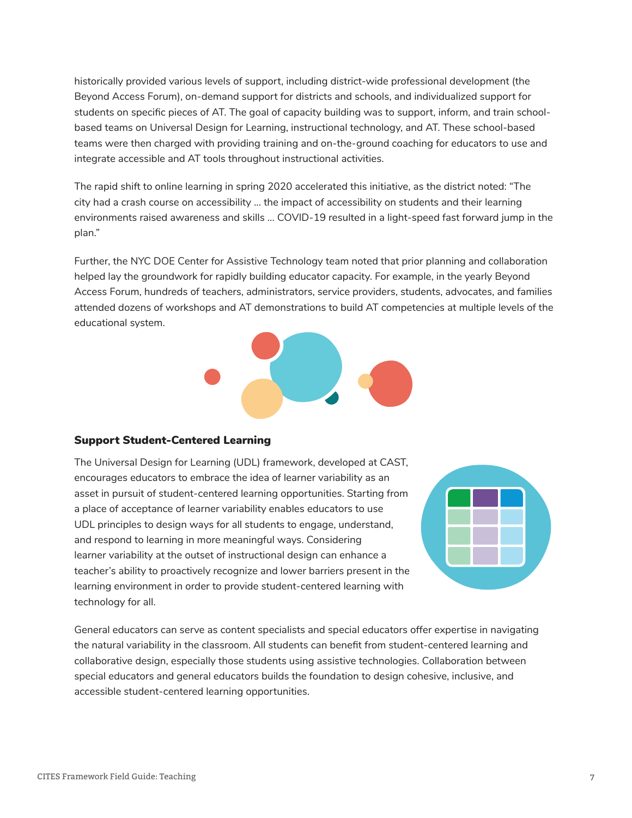<span id="page-6-0"></span>historically provided various levels of support, including district-wide professional development (the Beyond Access Forum), on-demand support for districts and schools, and individualized support for students on specific pieces of AT. The goal of capacity building was to support, inform, and train schoolbased teams on Universal Design for Learning, instructional technology, and AT. These school-based teams were then charged with providing training and on-the-ground coaching for educators to use and integrate accessible and AT tools throughout instructional activities.

The rapid shift to online learning in spring 2020 accelerated this initiative, as the district noted: "The city had a crash course on accessibility ... the impact of accessibility on students and their learning environments raised awareness and skills ... COVID-19 resulted in a light-speed fast forward jump in the plan."

Further, the NYC DOE Center for Assistive Technology team noted that prior planning and collaboration helped lay the groundwork for rapidly building educator capacity. For example, in the yearly Beyond Access Forum, hundreds of teachers, administrators, service providers, students, advocates, and families attended dozens of workshops and AT demonstrations to build AT competencies at multiple levels of the educational system.



#### Support Student-Centered Learning

The Universal Design for Learning (UDL) framework, developed at CAST, encourages educators to embrace the idea of learner variability as an asset in pursuit of student-centered learning opportunities. Starting from a place of acceptance of learner variability enables educators to use UDL principles to design ways for all students to engage, understand, and respond to learning in more meaningful ways. Considering learner variability at the outset of instructional design can enhance a teacher's ability to proactively recognize and lower barriers present in the learning environment in order to provide student-centered learning with technology for all.



General educators can serve as content specialists and special educators offer expertise in navigating the natural variability in the classroom. All students can benefit from student-centered learning and collaborative design, especially those students using assistive technologies. Collaboration between special educators and general educators builds the foundation to design cohesive, inclusive, and accessible student-centered learning opportunities.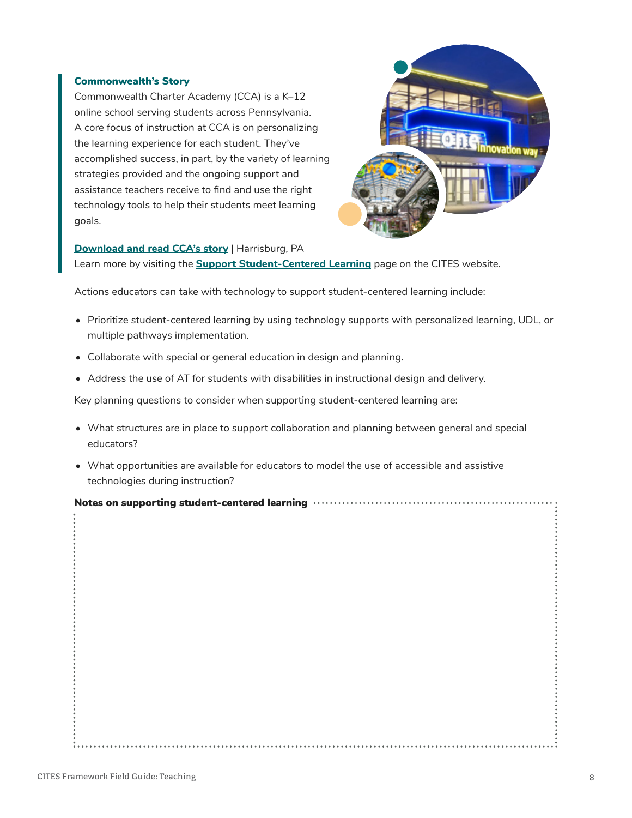#### Commonwealth's Story

Commonwealth Charter Academy (CCA) is a K–12 online school serving students across Pennsylvania. A core focus of instruction at CCA is on personalizing the learning experience for each student. They've accomplished success, in part, by the variety of learning strategies provided and the ongoing support and assistance teachers receive to find and use the right technology tools to help their students meet learning goals.



#### **[Download and read CCA's story](https://castudl.sharepoint.com/:w:/s/citesteam/EaIwEzS2H-FDgJRLvIbcwFQBodYandA3PJeNS14RpthqyQ)** | Harrisburg, PA

Learn more by visiting the **[Support Student-Centered Learning](http://cites.cast.org/teaching/support-student-centered-learning-technology )** page on the CITES website.

Actions educators can take with technology to support student-centered learning include:

- Prioritize student-centered learning by using technology supports with personalized learning, UDL, or multiple pathways implementation.
- Collaborate with special or general education in design and planning.
- Address the use of AT for students with disabilities in instructional design and delivery.

Key planning questions to consider when supporting student-centered learning are:

- What structures are in place to support collaboration and planning between general and special educators?
- What opportunities are available for educators to model the use of accessible and assistive technologies during instruction?

|  | Notes on supporting student-centered learning ………………………………………………………………………………………… |
|--|----------------------------------------------------------------------------------|
|--|----------------------------------------------------------------------------------|

......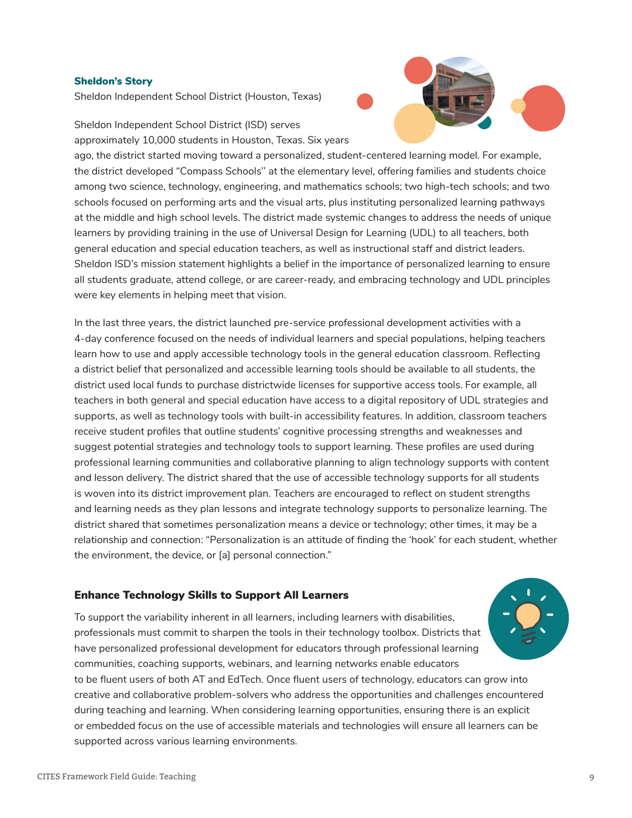#### <span id="page-8-0"></span>Sheldon's Story

Sheldon Independent School District (Houston, Texas)

Sheldon Independent School District (ISD) serves approximately 10,000 students in Houston, Texas. Six years



ago, the district started moving toward a personalized, student-centered learning model. For example, the district developed "Compass Schools'' at the elementary level, offering families and students choice among two science, technology, engineering, and mathematics schools; two high-tech schools; and two schools focused on performing arts and the visual arts, plus instituting personalized learning pathways at the middle and high school levels. The district made systemic changes to address the needs of unique learners by providing training in the use of Universal Design for Learning (UDL) to all teachers, both general education and special education teachers, as well as instructional staff and district leaders. Sheldon ISD's mission statement highlights a belief in the importance of personalized learning to ensure all students graduate, attend college, or are career-ready, and embracing technology and UDL principles were key elements in helping meet that vision.

In the last three years, the district launched pre-service professional development activities with a 4-day conference focused on the needs of individual learners and special populations, helping teachers learn how to use and apply accessible technology tools in the general education classroom. Reflecting a district belief that personalized and accessible learning tools should be available to all students, the district used local funds to purchase districtwide licenses for supportive access tools. For example, all teachers in both general and special education have access to a digital repository of UDL strategies and supports, as well as technology tools with built-in accessibility features. In addition, classroom teachers receive student profiles that outline students' cognitive processing strengths and weaknesses and suggest potential strategies and technology tools to support learning. These profiles are used during professional learning communities and collaborative planning to align technology supports with content and lesson delivery. The district shared that the use of accessible technology supports for all students is woven into its district improvement plan. Teachers are encouraged to reflect on student strengths and learning needs as they plan lessons and integrate technology supports to personalize learning. The district shared that sometimes personalization means a device or technology; other times, it may be a relationship and connection: "Personalization is an attitude of finding the 'hook' for each student, whether the environment, the device, or [a] personal connection."

#### Enhance Technology Skills to Support All Learners

To support the variability inherent in all learners, including learners with disabilities, professionals must commit to sharpen the tools in their technology toolbox. Districts that have personalized professional development for educators through professional learning communities, coaching supports, webinars, and learning networks enable educators to be fluent users of both AT and EdTech. Once fluent users of technology, educators can grow into creative and collaborative problem-solvers who address the opportunities and challenges encountered during teaching and learning. When considering learning opportunities, ensuring there is an explicit or embedded focus on the use of accessible materials and technologies will ensure all learners can be supported across various learning environments.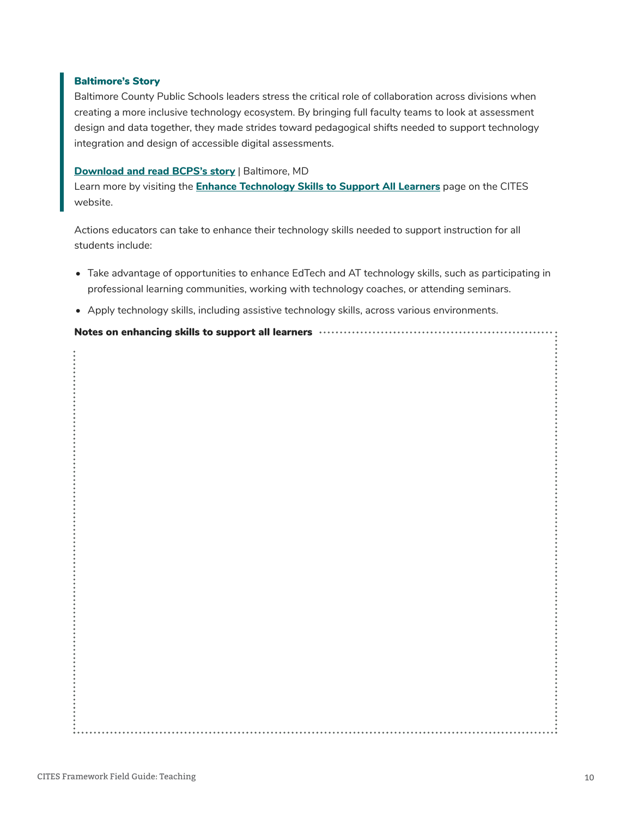#### Baltimore's Story

Baltimore County Public Schools leaders stress the critical role of collaboration across divisions when creating a more inclusive technology ecosystem. By bringing full faculty teams to look at assessment design and data together, they made strides toward pedagogical shifts needed to support technology integration and design of accessible digital assessments.

#### **[Download and read BCPS's story](https://cites.cast.org/binaries/content/assets/cites/cites-baltimore-casestory-a11y.pdf)** | Baltimore, MD

Learn more by visiting the **[Enhance Technology Skills to Support All Learners](http://cites.cast.org/teaching/enhance-technology-skills )** page on the CITES website.

Actions educators can take to enhance their technology skills needed to support instruction for all students include:

- Take advantage of opportunities to enhance EdTech and AT technology skills, such as participating in professional learning communities, working with technology coaches, or attending seminars.
- Apply technology skills, including assistive technology skills, across various environments.

Notes on enhancing skills to support all learners www.www.www.www.www.www.ww.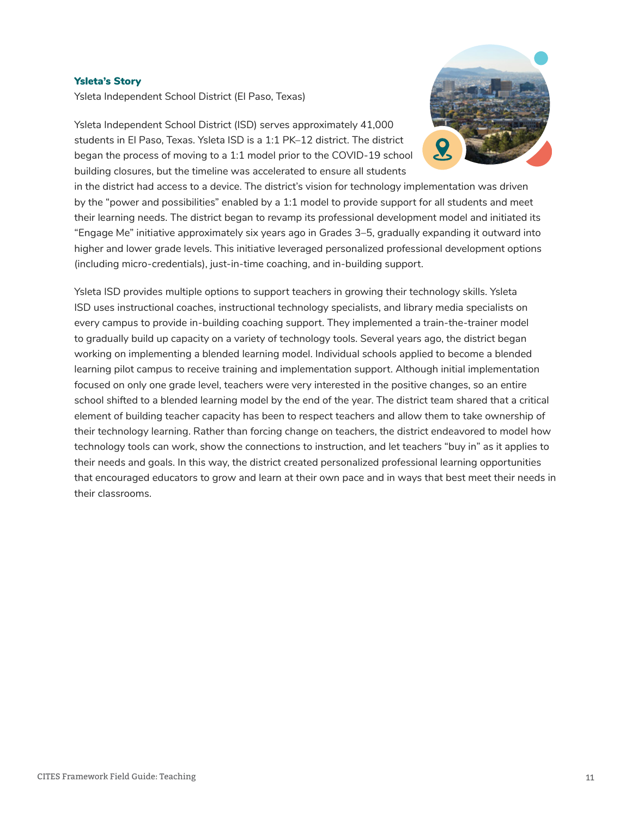#### Ysleta's Story

Ysleta Independent School District (El Paso, Texas)



Ysleta Independent School District (ISD) serves approximately 41,000 students in El Paso, Texas. Ysleta ISD is a 1:1 PK–12 district. The district began the process of moving to a 1:1 model prior to the COVID-19 school building closures, but the timeline was accelerated to ensure all students

in the district had access to a device. The district's vision for technology implementation was driven by the "power and possibilities" enabled by a 1:1 model to provide support for all students and meet their learning needs. The district began to revamp its professional development model and initiated its "Engage Me" initiative approximately six years ago in Grades 3–5, gradually expanding it outward into higher and lower grade levels. This initiative leveraged personalized professional development options (including micro-credentials), just-in-time coaching, and in-building support.

Ysleta ISD provides multiple options to support teachers in growing their technology skills. Ysleta ISD uses instructional coaches, instructional technology specialists, and library media specialists on every campus to provide in-building coaching support. They implemented a train-the-trainer model to gradually build up capacity on a variety of technology tools. Several years ago, the district began working on implementing a blended learning model. Individual schools applied to become a blended learning pilot campus to receive training and implementation support. Although initial implementation focused on only one grade level, teachers were very interested in the positive changes, so an entire school shifted to a blended learning model by the end of the year. The district team shared that a critical element of building teacher capacity has been to respect teachers and allow them to take ownership of their technology learning. Rather than forcing change on teachers, the district endeavored to model how technology tools can work, show the connections to instruction, and let teachers "buy in" as it applies to their needs and goals. In this way, the district created personalized professional learning opportunities that encouraged educators to grow and learn at their own pace and in ways that best meet their needs in their classrooms.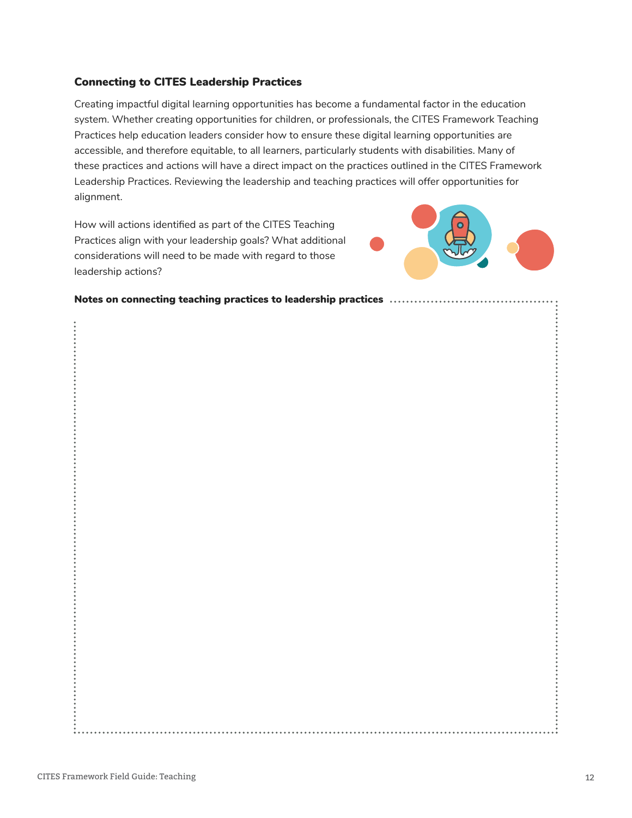#### <span id="page-11-0"></span>Connecting to CITES Leadership Practices

Creating impactful digital learning opportunities has become a fundamental factor in the education system. Whether creating opportunities for children, or professionals, the CITES Framework Teaching Practices help education leaders consider how to ensure these digital learning opportunities are accessible, and therefore equitable, to all learners, particularly students with disabilities. Many of these practices and actions will have a direct impact on the practices outlined in the CITES Framework Leadership Practices. Reviewing the leadership and teaching practices will offer opportunities for alignment.

How will actions identified as part of the CITES Teaching Practices align with your leadership goals? What additional considerations will need to be made with regard to those leadership actions?



Notes on connecting teaching practices to leadership practices .......................

 $\ddot{\phantom{a}}$